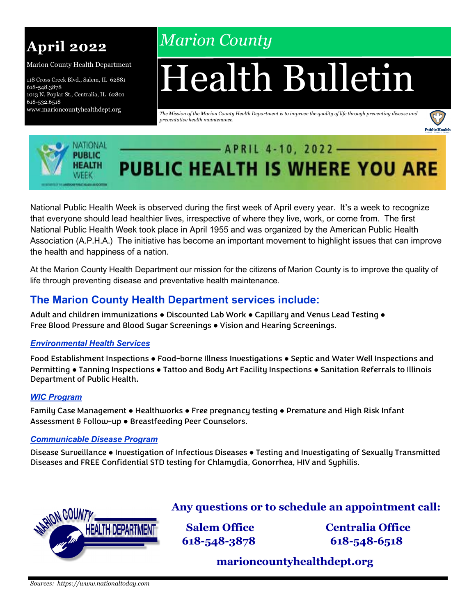

Marion County Health Department

118 Cross Creek Blvd., Salem, IL 62881 618-548.3878 1013 N. Poplar St., Centralia, IL 62801 618-532.6518 www.marioncountyhealthdept.org

## *Marion County*

# Health Bulletin

*The Mission of the Marion County Health Department is to improve the quality of life through preventing disease and preventative health maintenance.* 





National Public Health Week is observed during the first week of April every year. It's a week to recognize that everyone should lead healthier lives, irrespective of where they live, work, or come from. The first National Public Health Week took place in April 1955 and was organized by the American Public Health Association (A.P.H.A.) The initiative has become an important movement to highlight issues that can improve the health and happiness of a nation.

At the Marion County Health Department our mission for the citizens of Marion County is to improve the quality of life through preventing disease and preventative health maintenance.

## **The Marion County Health Department services include:**

Adult and children immunizations . Discounted Lab Work . Capillary and Venus Lead Testing . Free Blood Pressure and Blood Sugar Screenings ● Vision and Hearing Screenings.

## *Environmental Health Services*

Food Establishment Inspections ● Food-borne Illness Investigations ● Septic and Water Well Inspections and Permitting ● Tanning Inspections ● Tattoo and Body Art Facility Inspections ● Sanitation Referrals to Illinois Department of Public Health.

### *WIC Program*

Family Case Management ● Healthworks ● Free pregnancy testing ● Premature and High Risk Infant Assessment & Follow-up ● Breastfeeding Peer Counselors.

## *Communicable Disease Program*

Disease Surveillance ● Investigation of Infectious Diseases ● Testing and Investigating of Sexually Transmitted Diseases and FREE Confidential STD testing for Chlamydia, Gonorrhea, HIV and Syphilis.



## **Any questions or to schedule an appointment call:**

**Salem Office Centralia Office 618-548-3878 618-548-6518**

 **marioncountyhealthdept.org**